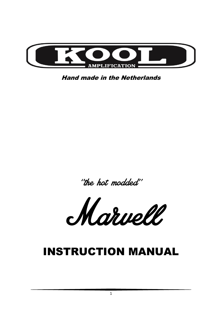

Hand made in the Netherlands

''the hot modded''

Marvell

# INSTRUCTION MANUAL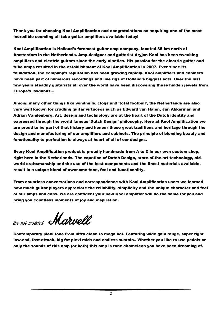Thank you for choosing Kool Amplification and congratulations on acquiring one of the most incredible sounding all tube guitar amplifiers available today!

Kool Amplification is Holland"s foremost guitar amp company, located 35 km north of Amsterdam in the Netherlands. Amp-designer and guitarist Aryjan Kool has been tweaking amplifiers and electric guitars since the early nineties. His passion for the electric guitar and tube amps resulted in the establishment of Kool Amplification in 2007. Ever since its foundation, the company"s reputation has been growing rapidly. Kool amplifiers and cabinets have been part of numerous recordings and live rigs of Holland"s biggest acts. Over the last few years steadily guitarists all over the world have been discovering these hidden jewels from Europe"s lowlands…

Among many other things like windmills, clogs and "total football", the Netherlands are also very well known for cradling guitar virtuosos such as Edward van Halen, Jan Akkerman and Adrian Vandenberg. Art, design and technology are at the heart of the Dutch identity and expressed through the world famous "Dutch Design" philosophy. Here at Kool Amplification we are proud to be part of that history and honour these great traditions and heritage through the design and manufacturing of our amplifiers and cabinets. The principle of blending beauty and functionality to perfection is always at heart of all of our designs.

Every Kool Amplification product is proudly handmade from A to Z in our own custom shop, right here in the Netherlands. The equation of Dutch Design, state-of-the-art technology, oldworld-craftsmanship and the use of the best components and the finest materials available, result in a unique blend of awesome tone, feel and functionality.

From countless conversations and correspondence with Kool Amplification users we learned how much guitar players appreciate the reliability, simplicity and the unique character and feel of our amps and cabs. We are confident your new Kool amplifier will do the same for you and bring you countless moments of joy and inspiration.

the hot modded **Marvell**.

Contemporary plexi tone from ultra clean to mega hot. Featuring wide gain range, super tight low-end, fast attack, big fat plexi mids and endless sustain.. Whether you like to use pedals or only the sounds of this amp (or both) this amp is tone chameleon you have been dreaming of.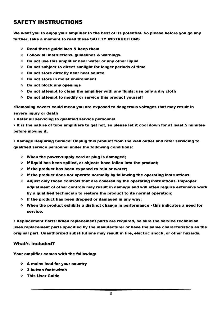# SAFETY INSTRUCTIONS

We want you to enjoy your amplifier to the best of its potential. So please before you go any further, take a moment to read these SAFETY INSTRUCTIONS

- $\div$  Read these guidelines & keep them
- Follow all instructions, guidelines & warnings.
- $\div$  Do not use this amplifier near water or any other liquid
- $\div$  Do not subject to direct sunlight for longer periods of time
- Do not store directly near heat source
- Do not store in moist environment
- Do not block any openings
- $\div$  Do not attempt to clean the amplifier with any fluids: use only a dry cloth
- $\div$  Do not attempt to modify or service this product yourself

•Removing covers could mean you are exposed to dangerous voltages that may result in severe injury or death

• Refer all servicing to qualified service personnel

• It is the nature of tube amplifiers to get hot, so please let it cool down for at least 5 minutes before moving it.

• Damage Requiring Service: Unplug this product from the wall outlet and refer servicing to qualified service personnel under the following conditions:

- $\div$  When the power-supply cord or plug is damaged;
- $\div$  If liquid has been spilled, or objects have fallen into the product;
- $\div$  If the product has been exposed to rain or water;
- $\div$  If the product does not operate normally by following the operating instructions.
- Adjust only those controls that are covered by the operating instructions. Improper adjustment of other controls may result in damage and will often require extensive work by a qualified technician to restore the product to its normal operation;
- $\div$  If the product has been dropped or damaged in any way;
- $\div$  When the product exhibits a distinct change in performance this indicates a need for service.

• Replacement Parts: When replacement parts are required, be sure the service technician uses replacement parts specified by the manufacturer or have the same characteristics as the original part. Unauthorized substitutions may result in fire, electric shock, or other hazards.

#### What"s included?

Your amplifier comes with the following:

- $\div$  A mains lead for your country
- 3 button footswitch
- This User Guide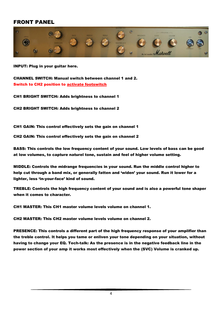# FRONT PANEL



INPUT: Plug in your guitar here.

CHANNEL SWITCH: Manual switch between channel 1 and 2. Switch to CH2 position to activate footswitch

CH1 BRIGHT SWITCH: Adds brightness to channel 1

CH2 BRIGHT SWITCH: Adds brightness to channel 2

CH1 GAIN: This control effectively sets the gain on channel 1

CH2 GAIN: This control effectively sets the gain on channel 2

BASS: This controls the low frequency content of your sound. Low levels of bass can be good at low volumes, to capture naturel tone, sustain and feel of higher volume setting.

MIDDLE: Controls the midrange frequencies in your sound. Run the middle control higher to help cut through a band mix, or generally fatten and 'widen' your sound. Run it lower for a lighter, less "in-your-face" kind of sound.

TREBLE: Controls the high frequency content of your sound and is also a powerful tone shaper when it comes to character.

CH1 MASTER: This CH1 master volume levels volume on channel 1.

CH2 MASTER: This CH2 master volume levels volume on channel 2.

PRESENCE: This controls a different part of the high frequency response of your amplifier than the treble control. It helps you tame or enliven your tone depending on your situation, without having to change your EQ. Tech-talk: As the presence is in the negative feedback line in the power section of your amp it works most effectively when the (SVC) Volume is cranked up.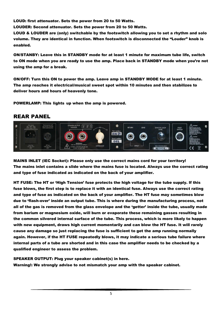LOUD: first attenuator. Sets the power from 20 to 50 Watts.

LOUDER: Second attenuator. Sets the power from 20 to 50 Watts.

LOUD & LOUDER are (only) switchable by the footswitch allowing you to set a rhythm and solo volume. They are identical in function. When footswitch is disconnected the "Louder" knob is enabled.

ON/STANBY: Leave this in STANDBY mode for at least 1 minute for maximum tube life, switch to ON mode when you are ready to use the amp. Place back in STANDBY mode when you"re not using the amp for a break.

ON/OFF: Turn this ON to power the amp. Leave amp in STANDBY MODE for at least 1 minute. The amp reaches it electrical/musical sweet spot within 10 minutes and then stabilizes to deliver hours and hours of heavenly tone.

POWERLAMP: This lights up when the amp is powered.

### REAR PANEL



MAINS INLET (IEC Socket): Please only use the correct mains cord for your territory! The mains inlet contains a slide where the mains fuse is located. Always use the correct rating and type of fuse indicated as indicated on the back of your amplifier.

HT FUSE: The HT or "High Tension" fuse protects the high voltage for the tube supply. If this fuse blows, the first step is to replace it with an identical fuse. Always use the correct rating and type of fuse as indicated on the back of your amplifier. The HT fuse may sometimes blow due to "flash-over" inside an output tube. This is where during the manufacturing process, not all of the gas is removed from the glass envelope and the "getter" inside the tube, usually made from barium or magnesium oxide, will burn or evaporate these remaining gasses resulting in the common silvered internal surface of the tube. This process, which is more likely to happen with new equipment, draws high current momentarily and can blow the HT fuse. It will rarely cause any damage so just replacing the fuse is sufficient to get the amp running normally again. However, if the HT FUSE repeatedly blows, it may indicate a serious tube failure where internal parts of a tube are shorted and in this case the amplifier needs to be checked by a qualified engineer to assess the problem.

SPEAKER OUTPUT: Plug your speaker cabinet(s) in here. Warning!: We strongly advise to not mismatch your amp with the speaker cabinet.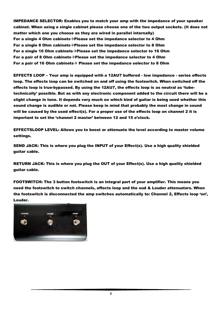IMPEDANCE SELECTOR: Enables you to match your amp with the impedance of your speaker cabinet. When using a single cabinet please choose one of the two output sockets. (It does not matter which one you choose as they are wired in parallel internally) For a single 4 Ohm cabinets $\rightarrow$ Please set the impedance selector to 4 Ohm For a single 8 Ohm cabinets  $\rightarrow$  Please set the impedance selector to 8 Ohm For a single 16 Ohm cabinets  $\rightarrow$  Please set the impedance selector to 16 Ohm For a pair of 8 Ohm cabinets $\rightarrow$ Please set the impedance selector to 4 Ohm For a pair of 16 Ohm cabinets  $\rightarrow$  Please set the impedance selector to 8 Ohm

EFFECTS LOOP – Your amp is equipped with a 12AU7 buffered - low impedance - series effects loop. The effects loop can be switched on and off using the footswitch. When switched off the effects loop is true-bypassed. By using the 12AU7, the effects loop is as neutral as "tubetechnically" possible. But as with any electronic component added to the circuit there will be a slight change in tone. It depends very much on which kind of guitar is being used whether this sound change is audible or not. Please keep in mind that probably the most change in sound will be caused by the used effect(s). For a proper use of the effects loop on channel 2 it is important to set the 'channel 2 master' between 12 and 15 o'clock.

EFFECTSLOOP LEVEL: Allows you to boost or attenuate the level according to master volume settings.

SEND JACK: This is where you plug the INPUT of your Effect(s). Use a high quality shielded guitar cable.

RETURN JACK: This is where you plug the OUT of your Effect(s). Use a high quality shielded guitar cable.

FOOTSWITCH: The 3 button footswitch is an integral part of your amplifier. This means you need the footswitch to switch channels, effects loop and the oud & Louder attenuators. When the footswitch is disconnected the amp switches automatically to: Channel 2, Effects loop "on", Louder.

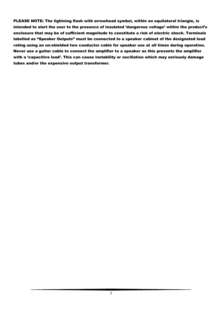PLEASE NOTE: The lightning flash with arrowhead symbol, within an equilateral triangle, is intended to alert the user to the presence of insulated 'dangerous voltage' within the product's enclosure that may be of sufficient magnitude to constitute a risk of electric shock. Terminals labelled as "Speaker Outputs" must be connected to a speaker cabinet of the designated load rating using an un-shielded two conductor cable for speaker use at all times during operation. Never use a guitar cable to connect the amplifier to a speaker as this presents the amplifier with a 'capacitive load'. This can cause instability or oscillation which may seriously damage tubes and/or the expensive output transformer.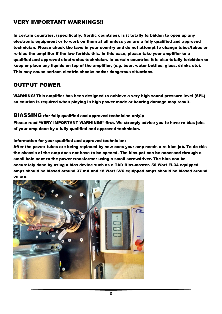# VERY IMPORTANT WARNINGS!!

In certain countries, (specifically, Nordic countries), is it totally forbidden to open up any electronic equipment or to work on them at all unless you are a fully qualified and approved technician. Please check the laws in your country and do not attempt to change tubes/tubes or re-bias the amplifier if the law forbids this. In this case, please take your amplifier to a qualified and approved electronics technician. In certain countries it is also totally forbidden to keep or place any liquids on top of the amplifier, (e.g. beer, water bottles, glass, drinks etc). This may cause serious electric shocks and/or dangerous situations.

## OUTPUT POWER

WARNING! This amplifier has been designed to achieve a very high sound pressure level (SPL) so caution is required when playing in high power mode or hearing damage may result.

#### BIASSING (for fully qualified and approved technician only!):

Please read "VERY IMPORTANT WARNINGS" first. We strongly advise you to have re-bias jobs of your amp done by a fully qualified and approved technician.

#### Information for your qualified and approved technician:

After the power tubes are being replaced by new ones your amp needs a re-bias job. To do this the chassis of the amp does not have to be opened. The bias-pot can be accessed through a small hole next to the power transformer using a small screwdriver. The bias can be accurately done by using a bias device such as a TAD Bias-master. 50 Watt EL34 equipped amps should be biased around 37 mA and 18 Watt 6V6 equipped amps should be biased around 20 mA.

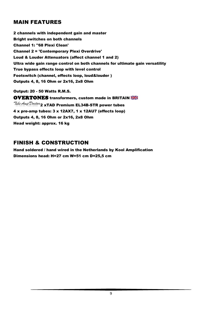# MAIN FEATURES

2 channels with independent gain and master Bright switches on both channels Channel 1: ''68 Plexi Clean' Channel 2 = 'Contemporary Plexi Overdrive' Loud & Louder Attenuators (affect channel 1 and 2) Ultra wide gain range control on both channels for ultimate gain versatility True bypass effects loop with level control Footswitch (channel, effects loop, loud&louder ) Outputs 4, 8, 16 Ohm or 2x16, 2x8 Ohm

Output: 20 - 50 Watts R.M.S. **OVERTONES** transformers, custom made in BRITAIN Tube  $Amp \mathcal{D}octor$  2 xTAD Premium EL34B-STR power tubes 4 x pre-amp tubes: 3 x 12AX7, 1 x 12AU7 (effects loop) Outputs 4, 8, 16 Ohm or 2x16, 2x8 Ohm Head weight: approx. 16 kg

## FINISH & CONSTRUCTION

Hand soldered / hand wired in the Netherlands by Kool Amplification Dimensions head: H=27 cm W=51 cm D=25,5 cm